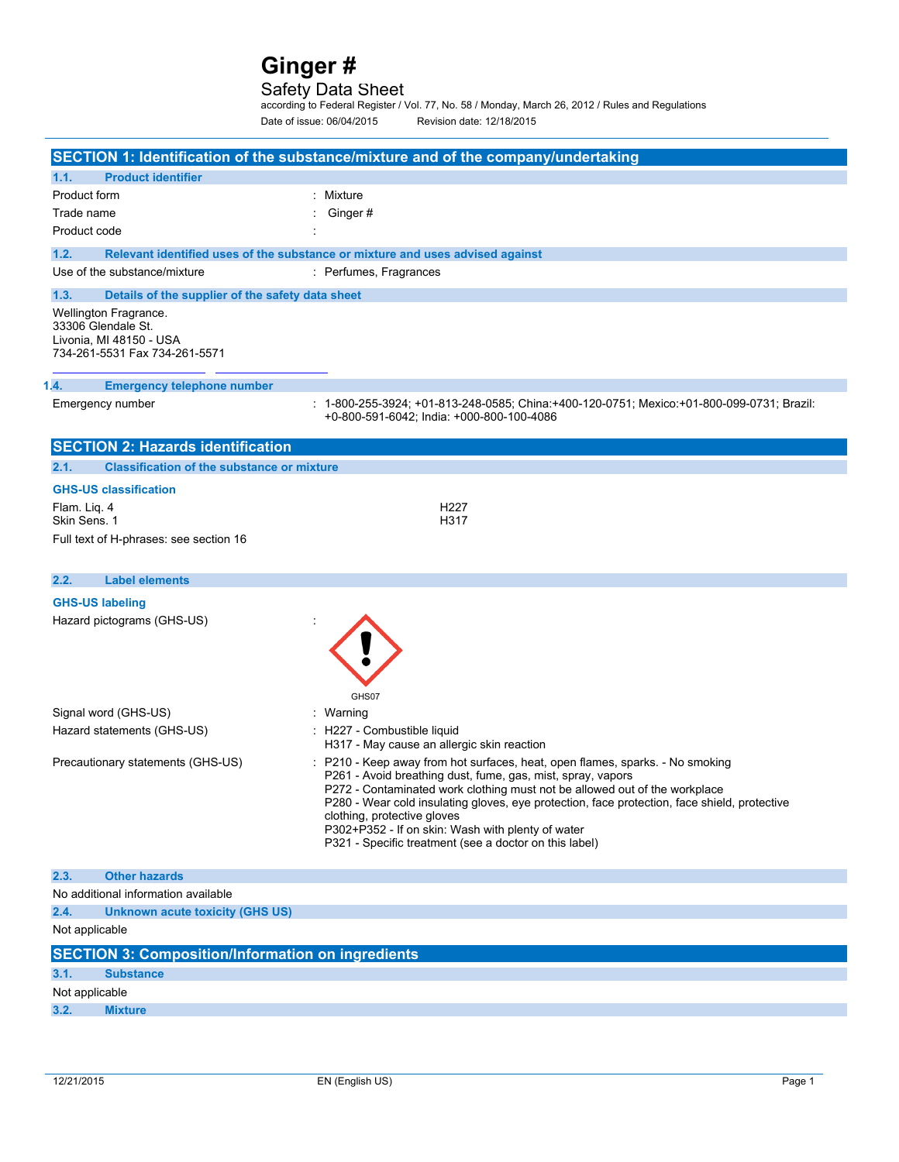### Safety Data Sheet

according to Federal Register / Vol. 77, No. 58 / Monday, March 26, 2012 / Rules and Regulations Date of issue: 06/04/2015 Revision date: 12/18/2015

|                                                                                                         | SECTION 1: Identification of the substance/mixture and of the company/undertaking                                                                                                                                                                                                                                                                                                                                                                                        |
|---------------------------------------------------------------------------------------------------------|--------------------------------------------------------------------------------------------------------------------------------------------------------------------------------------------------------------------------------------------------------------------------------------------------------------------------------------------------------------------------------------------------------------------------------------------------------------------------|
| 1.1.<br><b>Product identifier</b>                                                                       |                                                                                                                                                                                                                                                                                                                                                                                                                                                                          |
| Product form                                                                                            | : Mixture                                                                                                                                                                                                                                                                                                                                                                                                                                                                |
| Trade name                                                                                              | Ginger#                                                                                                                                                                                                                                                                                                                                                                                                                                                                  |
| Product code                                                                                            |                                                                                                                                                                                                                                                                                                                                                                                                                                                                          |
| 1.2.                                                                                                    | Relevant identified uses of the substance or mixture and uses advised against                                                                                                                                                                                                                                                                                                                                                                                            |
| Use of the substance/mixture                                                                            | : Perfumes, Fragrances                                                                                                                                                                                                                                                                                                                                                                                                                                                   |
| 1.3.<br>Details of the supplier of the safety data sheet                                                |                                                                                                                                                                                                                                                                                                                                                                                                                                                                          |
| Wellington Fragrance.<br>33306 Glendale St.<br>Livonia, MI 48150 - USA<br>734-261-5531 Fax 734-261-5571 |                                                                                                                                                                                                                                                                                                                                                                                                                                                                          |
| <b>Emergency telephone number</b><br>1.4.                                                               |                                                                                                                                                                                                                                                                                                                                                                                                                                                                          |
| Emergency number                                                                                        | : 1-800-255-3924; +01-813-248-0585; China:+400-120-0751; Mexico:+01-800-099-0731; Brazil:<br>+0-800-591-6042; India: +000-800-100-4086                                                                                                                                                                                                                                                                                                                                   |
| <b>SECTION 2: Hazards identification</b>                                                                |                                                                                                                                                                                                                                                                                                                                                                                                                                                                          |
| 2.1.<br><b>Classification of the substance or mixture</b>                                               |                                                                                                                                                                                                                                                                                                                                                                                                                                                                          |
| <b>GHS-US classification</b>                                                                            |                                                                                                                                                                                                                                                                                                                                                                                                                                                                          |
| Flam. Lig. 4                                                                                            | H <sub>22</sub> 7                                                                                                                                                                                                                                                                                                                                                                                                                                                        |
| Skin Sens. 1                                                                                            | H317                                                                                                                                                                                                                                                                                                                                                                                                                                                                     |
| Full text of H-phrases: see section 16                                                                  |                                                                                                                                                                                                                                                                                                                                                                                                                                                                          |
|                                                                                                         |                                                                                                                                                                                                                                                                                                                                                                                                                                                                          |
| 2.2.<br><b>Label elements</b>                                                                           |                                                                                                                                                                                                                                                                                                                                                                                                                                                                          |
| <b>GHS-US labeling</b>                                                                                  |                                                                                                                                                                                                                                                                                                                                                                                                                                                                          |
| Hazard pictograms (GHS-US)                                                                              | GHS07                                                                                                                                                                                                                                                                                                                                                                                                                                                                    |
| Signal word (GHS-US)                                                                                    | : Warning                                                                                                                                                                                                                                                                                                                                                                                                                                                                |
| Hazard statements (GHS-US)                                                                              | : H227 - Combustible liquid<br>H317 - May cause an allergic skin reaction                                                                                                                                                                                                                                                                                                                                                                                                |
| Precautionary statements (GHS-US)                                                                       | : P210 - Keep away from hot surfaces, heat, open flames, sparks. - No smoking<br>P261 - Avoid breathing dust, fume, gas, mist, spray, vapors<br>P272 - Contaminated work clothing must not be allowed out of the workplace<br>P280 - Wear cold insulating gloves, eye protection, face protection, face shield, protective<br>clothing, protective gloves<br>P302+P352 - If on skin: Wash with plenty of water<br>P321 - Specific treatment (see a doctor on this label) |
| <b>Other hazards</b><br>2.3.                                                                            |                                                                                                                                                                                                                                                                                                                                                                                                                                                                          |
| No additional information available                                                                     |                                                                                                                                                                                                                                                                                                                                                                                                                                                                          |
| 2.4.<br><b>Unknown acute toxicity (GHS US)</b>                                                          |                                                                                                                                                                                                                                                                                                                                                                                                                                                                          |
| Not applicable                                                                                          |                                                                                                                                                                                                                                                                                                                                                                                                                                                                          |
| <b>SECTION 3: Composition/Information on ingredients</b>                                                |                                                                                                                                                                                                                                                                                                                                                                                                                                                                          |
| 3.1.<br><b>Substance</b>                                                                                |                                                                                                                                                                                                                                                                                                                                                                                                                                                                          |
| Not applicable                                                                                          |                                                                                                                                                                                                                                                                                                                                                                                                                                                                          |
| 3.2.<br><b>Mixture</b>                                                                                  |                                                                                                                                                                                                                                                                                                                                                                                                                                                                          |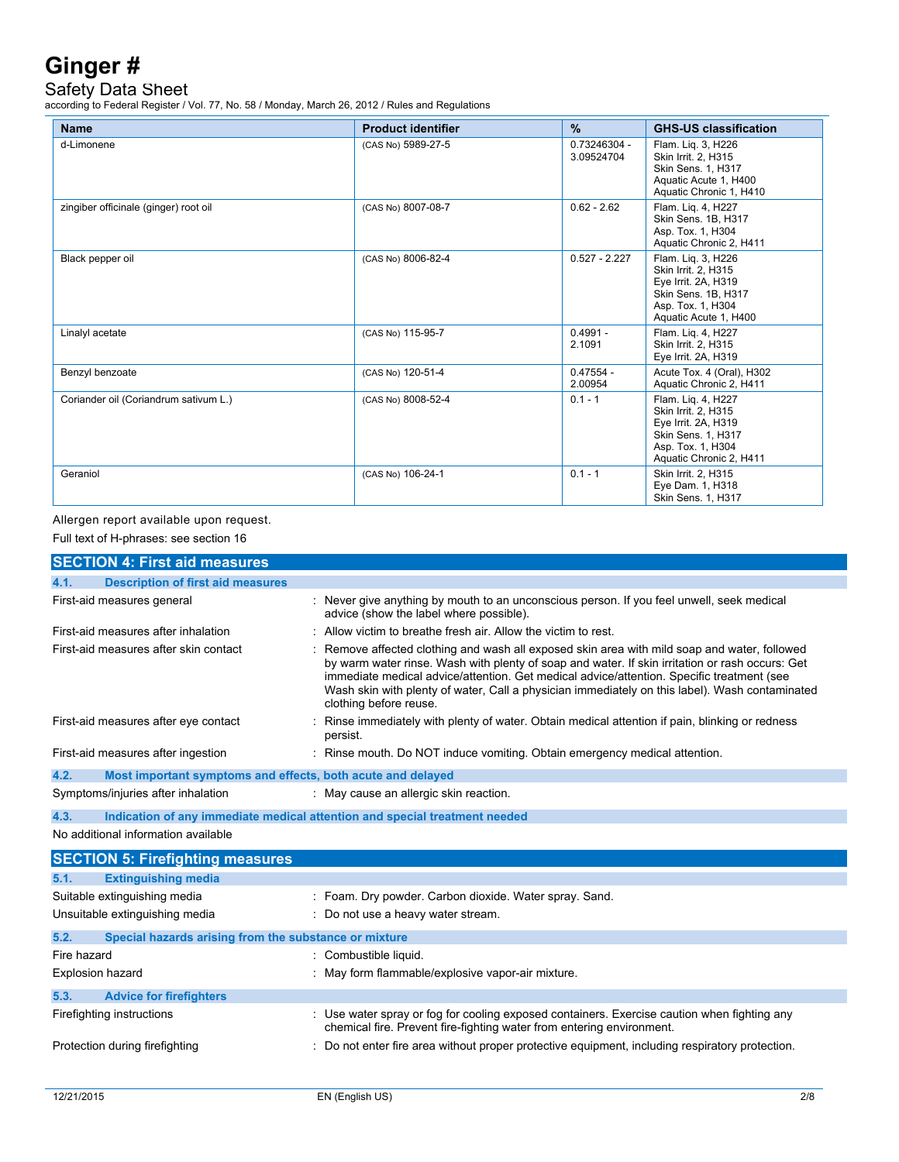Safety Data Sheet

according to Federal Register / Vol. 77, No. 58 / Monday, March 26, 2012 / Rules and Regulations

| <b>Name</b>                           | <b>Product identifier</b> | $\frac{9}{6}$              | <b>GHS-US classification</b>                                                                                                           |
|---------------------------------------|---------------------------|----------------------------|----------------------------------------------------------------------------------------------------------------------------------------|
| d-Limonene                            | (CAS No) 5989-27-5        | 0.73246304 -<br>3.09524704 | Flam. Lig. 3, H226<br>Skin Irrit. 2, H315<br><b>Skin Sens. 1. H317</b><br>Aquatic Acute 1, H400<br>Aquatic Chronic 1, H410             |
| zingiber officinale (ginger) root oil | (CAS No) 8007-08-7        | $0.62 - 2.62$              | Flam. Lig. 4, H227<br>Skin Sens, 1B, H317<br>Asp. Tox. 1, H304<br>Aquatic Chronic 2, H411                                              |
| Black pepper oil                      | (CAS No) 8006-82-4        | $0.527 - 2.227$            | Flam. Lig. 3, H226<br>Skin Irrit. 2, H315<br>Eye Irrit. 2A, H319<br>Skin Sens. 1B, H317<br>Asp. Tox. 1, H304<br>Aquatic Acute 1, H400  |
| Linalyl acetate                       | (CAS No) 115-95-7         | $0.4991 -$<br>2.1091       | Flam. Lig. 4, H227<br>Skin Irrit. 2, H315<br>Eye Irrit. 2A, H319                                                                       |
| Benzyl benzoate                       | (CAS No) 120-51-4         | $0.47554 -$<br>2.00954     | Acute Tox. 4 (Oral), H302<br>Aquatic Chronic 2, H411                                                                                   |
| Coriander oil (Coriandrum sativum L.) | (CAS No) 8008-52-4        | $0.1 - 1$                  | Flam. Lig. 4, H227<br>Skin Irrit. 2, H315<br>Eye Irrit. 2A, H319<br>Skin Sens. 1, H317<br>Asp. Tox. 1, H304<br>Aquatic Chronic 2, H411 |
| Geraniol                              | (CAS No) 106-24-1         | $0.1 - 1$                  | Skin Irrit. 2, H315<br>Eye Dam. 1, H318<br>Skin Sens. 1, H317                                                                          |

Allergen report available upon request.

Full text of H-phrases: see section 16

|                                                                                    | <b>SECTION 4: First aid measures</b>                        |                                                                                                                                                                                                                                                                                                                                                                                                                          |
|------------------------------------------------------------------------------------|-------------------------------------------------------------|--------------------------------------------------------------------------------------------------------------------------------------------------------------------------------------------------------------------------------------------------------------------------------------------------------------------------------------------------------------------------------------------------------------------------|
| 4.1.                                                                               | <b>Description of first aid measures</b>                    |                                                                                                                                                                                                                                                                                                                                                                                                                          |
|                                                                                    | First-aid measures general                                  | : Never give anything by mouth to an unconscious person. If you feel unwell, seek medical<br>advice (show the label where possible).                                                                                                                                                                                                                                                                                     |
|                                                                                    | First-aid measures after inhalation                         | : Allow victim to breathe fresh air. Allow the victim to rest.                                                                                                                                                                                                                                                                                                                                                           |
|                                                                                    | First-aid measures after skin contact                       | : Remove affected clothing and wash all exposed skin area with mild soap and water, followed<br>by warm water rinse. Wash with plenty of soap and water. If skin irritation or rash occurs: Get<br>immediate medical advice/attention. Get medical advice/attention. Specific treatment (see<br>Wash skin with plenty of water, Call a physician immediately on this label). Wash contaminated<br>clothing before reuse. |
|                                                                                    | First-aid measures after eye contact                        | : Rinse immediately with plenty of water. Obtain medical attention if pain, blinking or redness<br>persist.                                                                                                                                                                                                                                                                                                              |
|                                                                                    | First-aid measures after ingestion                          | : Rinse mouth. Do NOT induce vomiting. Obtain emergency medical attention.                                                                                                                                                                                                                                                                                                                                               |
| 4.2.                                                                               | Most important symptoms and effects, both acute and delayed |                                                                                                                                                                                                                                                                                                                                                                                                                          |
|                                                                                    | Symptoms/injuries after inhalation                          | : May cause an allergic skin reaction.                                                                                                                                                                                                                                                                                                                                                                                   |
| 4.3.<br>Indication of any immediate medical attention and special treatment needed |                                                             |                                                                                                                                                                                                                                                                                                                                                                                                                          |
|                                                                                    | No additional information available                         |                                                                                                                                                                                                                                                                                                                                                                                                                          |
|                                                                                    | <b>SECTION 5: Firefighting measures</b>                     |                                                                                                                                                                                                                                                                                                                                                                                                                          |
| 5.1.                                                                               | <b>Extinguishing media</b>                                  |                                                                                                                                                                                                                                                                                                                                                                                                                          |
|                                                                                    | Suitable extinguishing media                                | : Foam. Dry powder. Carbon dioxide. Water spray. Sand.                                                                                                                                                                                                                                                                                                                                                                   |
|                                                                                    | Unsuitable extinguishing media                              | : Do not use a heavy water stream.                                                                                                                                                                                                                                                                                                                                                                                       |
| 5.2.                                                                               | Special hazards arising from the substance or mixture       |                                                                                                                                                                                                                                                                                                                                                                                                                          |
| Fire hazard                                                                        |                                                             | : Combustible liquid.                                                                                                                                                                                                                                                                                                                                                                                                    |
|                                                                                    | <b>Explosion hazard</b>                                     | : May form flammable/explosive vapor-air mixture.                                                                                                                                                                                                                                                                                                                                                                        |
| 5.3.                                                                               | <b>Advice for firefighters</b>                              |                                                                                                                                                                                                                                                                                                                                                                                                                          |
|                                                                                    | Firefighting instructions                                   | : Use water spray or fog for cooling exposed containers. Exercise caution when fighting any<br>chemical fire. Prevent fire-fighting water from entering environment.                                                                                                                                                                                                                                                     |
|                                                                                    | Protection during firefighting                              | : Do not enter fire area without proper protective equipment, including respiratory protection.                                                                                                                                                                                                                                                                                                                          |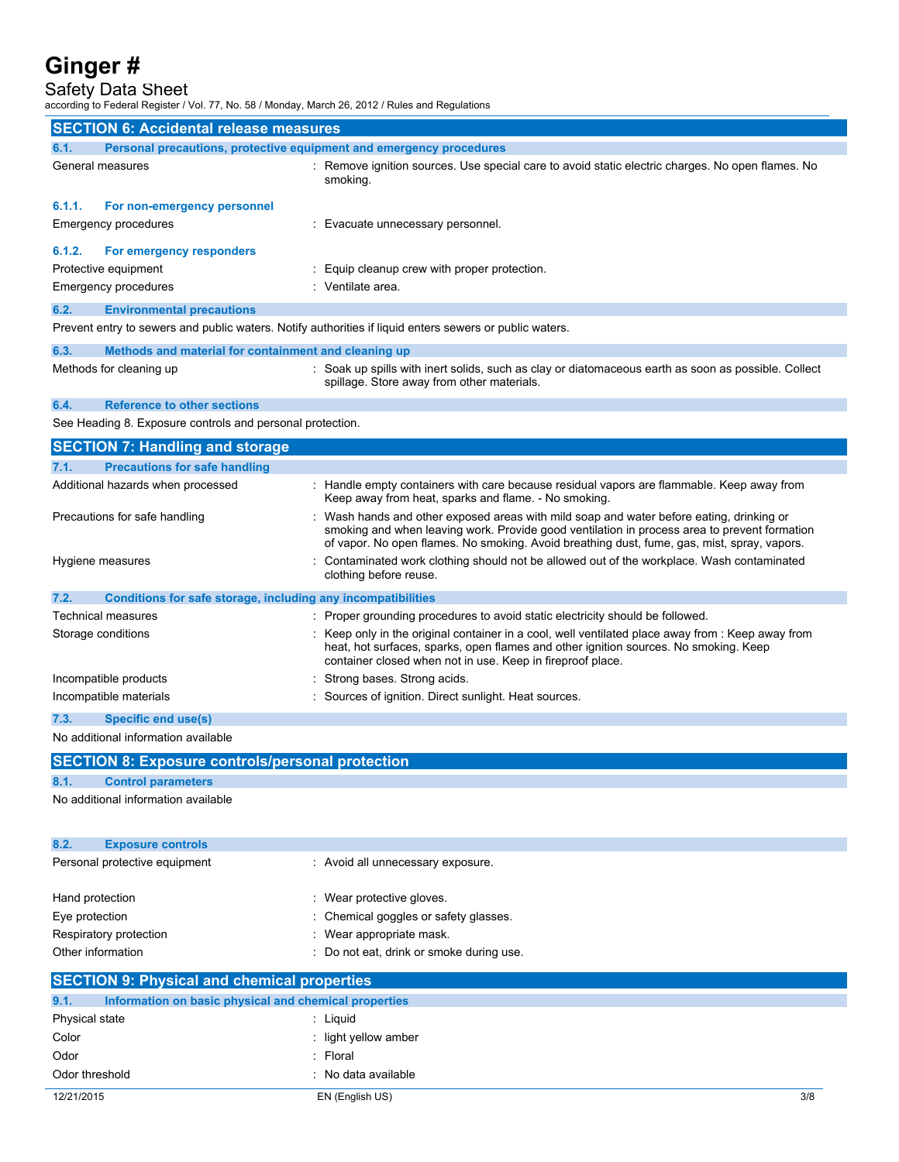Safety Data Sheet

according to Federal Register / Vol. 77, No. 58 / Monday, March 26, 2012 / Rules and Regulations

| <b>SECTION 6: Accidental release measures</b>             |                                                                     |                                                                                                                                                                                                                                                                                       |  |
|-----------------------------------------------------------|---------------------------------------------------------------------|---------------------------------------------------------------------------------------------------------------------------------------------------------------------------------------------------------------------------------------------------------------------------------------|--|
| 6.1.                                                      | Personal precautions, protective equipment and emergency procedures |                                                                                                                                                                                                                                                                                       |  |
|                                                           | General measures                                                    | : Remove ignition sources. Use special care to avoid static electric charges. No open flames. No<br>smoking.                                                                                                                                                                          |  |
| 6.1.1.                                                    | For non-emergency personnel                                         |                                                                                                                                                                                                                                                                                       |  |
|                                                           | Emergency procedures                                                | : Evacuate unnecessary personnel.                                                                                                                                                                                                                                                     |  |
| 6.1.2.                                                    | For emergency responders                                            |                                                                                                                                                                                                                                                                                       |  |
|                                                           | Protective equipment                                                | : Equip cleanup crew with proper protection.                                                                                                                                                                                                                                          |  |
|                                                           | Emergency procedures                                                | : Ventilate area.                                                                                                                                                                                                                                                                     |  |
| 6.2.                                                      | <b>Environmental precautions</b>                                    |                                                                                                                                                                                                                                                                                       |  |
|                                                           |                                                                     | Prevent entry to sewers and public waters. Notify authorities if liquid enters sewers or public waters.                                                                                                                                                                               |  |
| 6.3.                                                      | Methods and material for containment and cleaning up                |                                                                                                                                                                                                                                                                                       |  |
|                                                           | Methods for cleaning up                                             | : Soak up spills with inert solids, such as clay or diatomaceous earth as soon as possible. Collect<br>spillage. Store away from other materials.                                                                                                                                     |  |
| 6.4.                                                      | <b>Reference to other sections</b>                                  |                                                                                                                                                                                                                                                                                       |  |
| See Heading 8. Exposure controls and personal protection. |                                                                     |                                                                                                                                                                                                                                                                                       |  |
| <b>SECTION 7: Handling and storage</b>                    |                                                                     |                                                                                                                                                                                                                                                                                       |  |
| 7.1.                                                      | <b>Precautions for safe handling</b>                                |                                                                                                                                                                                                                                                                                       |  |
|                                                           | Additional hazards when processed                                   | : Handle empty containers with care because residual vapors are flammable. Keep away from<br>Keep away from heat, sparks and flame. - No smoking.                                                                                                                                     |  |
|                                                           | Precautions for safe handling                                       | Wash hands and other exposed areas with mild soap and water before eating, drinking or<br>smoking and when leaving work. Provide good ventilation in process area to prevent formation<br>of vapor. No open flames. No smoking. Avoid breathing dust, fume, gas, mist, spray, vapors. |  |
|                                                           | Hygiene measures                                                    | Contaminated work clothing should not be allowed out of the workplace. Wash contaminated                                                                                                                                                                                              |  |

|                                                                      | clothing before reuse.                                                                                                                                                                                                                                  |
|----------------------------------------------------------------------|---------------------------------------------------------------------------------------------------------------------------------------------------------------------------------------------------------------------------------------------------------|
| 7.2.<br>Conditions for safe storage, including any incompatibilities |                                                                                                                                                                                                                                                         |
| Technical measures                                                   | : Proper grounding procedures to avoid static electricity should be followed.                                                                                                                                                                           |
| Storage conditions                                                   | : Keep only in the original container in a cool, well ventilated place away from : Keep away from<br>heat, hot surfaces, sparks, open flames and other ignition sources. No smoking. Keep<br>container closed when not in use. Keep in fireproof place. |
| Incompatible products                                                | : Strong bases. Strong acids.                                                                                                                                                                                                                           |
| Incompatible materials                                               | : Sources of ignition. Direct sunlight. Heat sources.                                                                                                                                                                                                   |
| 7.3.<br>Specific end use(s)                                          |                                                                                                                                                                                                                                                         |

No additional information available

| <b>SECTION 8: Exposure controls/personal protection</b>       |                                          |  |  |
|---------------------------------------------------------------|------------------------------------------|--|--|
| 8.1.<br><b>Control parameters</b>                             |                                          |  |  |
| No additional information available                           |                                          |  |  |
|                                                               |                                          |  |  |
|                                                               |                                          |  |  |
| 8.2.<br><b>Exposure controls</b>                              |                                          |  |  |
| Personal protective equipment                                 | : Avoid all unnecessary exposure.        |  |  |
|                                                               |                                          |  |  |
| Hand protection                                               | : Wear protective gloves.                |  |  |
| Eye protection                                                | : Chemical goggles or safety glasses.    |  |  |
| Respiratory protection                                        | : Wear appropriate mask.                 |  |  |
| Other information                                             | : Do not eat, drink or smoke during use. |  |  |
| <b>SECTION 9: Physical and chemical properties</b>            |                                          |  |  |
| Information on basic physical and chemical properties<br>9.1. |                                          |  |  |
| Physical state                                                | : Liquid                                 |  |  |
| Color                                                         | : light yellow amber                     |  |  |
| Odor                                                          | : Floral                                 |  |  |
| Odor threshold                                                | : No data available                      |  |  |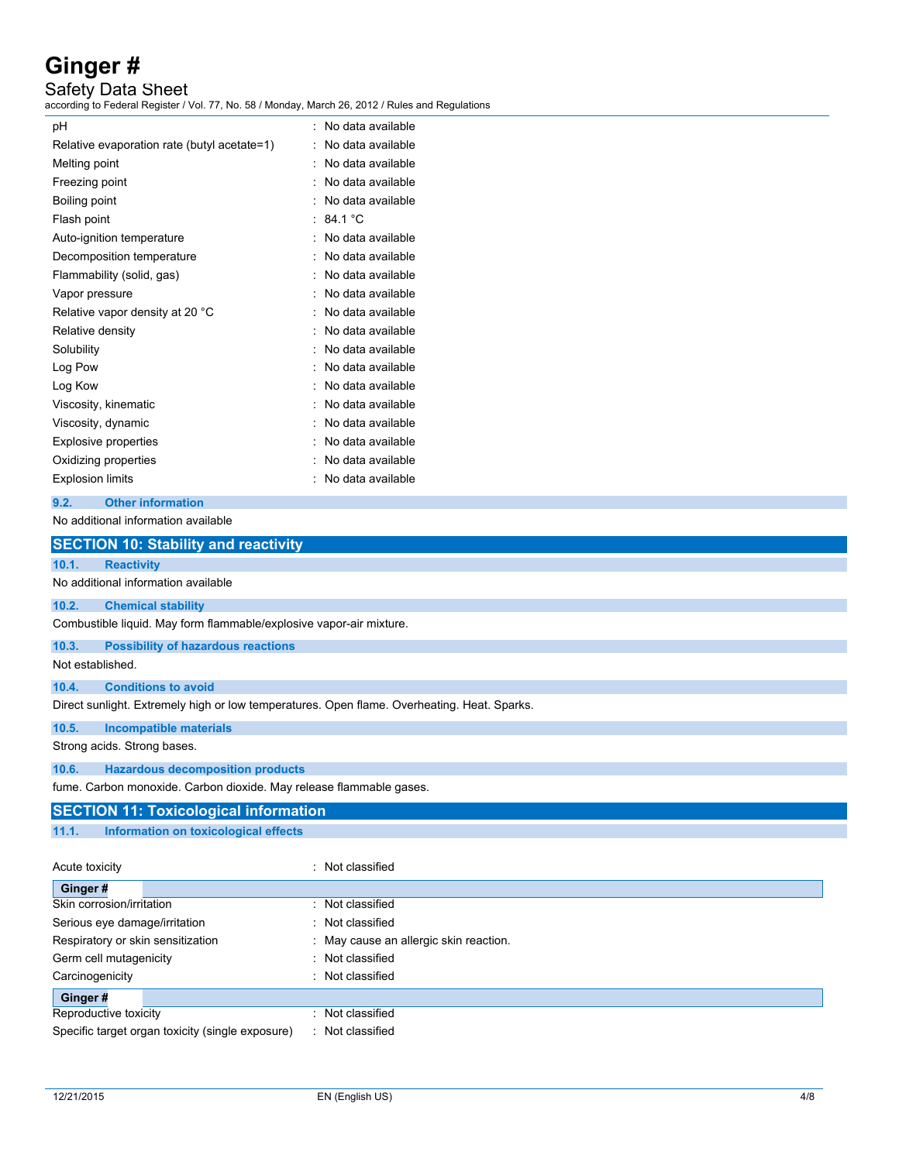Safety Data Sheet

according to Federal Register / Vol. 77, No. 58 / Monday, March 26, 2012 / Rules and Regulations

| рH                                          | No data available |
|---------------------------------------------|-------------------|
| Relative evaporation rate (butyl acetate=1) | No data available |
| Melting point                               | No data available |
| Freezing point                              | No data available |
| Boiling point                               | No data available |
| Flash point                                 | $\cdot$ 84.1 °C.  |
| Auto-ignition temperature                   | No data available |
| Decomposition temperature                   | No data available |
| Flammability (solid, gas)                   | No data available |
| Vapor pressure                              | No data available |
| Relative vapor density at 20 °C             | No data available |
| Relative density                            | No data available |
| Solubility                                  | No data available |
| Log Pow                                     | No data available |
| Log Kow                                     | No data available |
| Viscosity, kinematic                        | No data available |
| Viscosity, dynamic                          | No data available |
| Explosive properties                        | No data available |
| Oxidizing properties                        | No data available |
| <b>Explosion limits</b>                     | No data available |
|                                             |                   |

### **9.2. Other information**

No additional information available

|                  | <b>SECTION 10: Stability and reactivity</b>                                                 |
|------------------|---------------------------------------------------------------------------------------------|
| 10.1.            | <b>Reactivity</b>                                                                           |
|                  | No additional information available                                                         |
| 10.2.            | <b>Chemical stability</b>                                                                   |
|                  | Combustible liquid. May form flammable/explosive vapor-air mixture.                         |
| 10.3.            | <b>Possibility of hazardous reactions</b>                                                   |
| Not established. |                                                                                             |
| 10.4.            | <b>Conditions to avoid</b>                                                                  |
|                  | Direct sunlight. Extremely high or low temperatures. Open flame. Overheating. Heat. Sparks. |
| 10.5.            | <b>Incompatible materials</b>                                                               |
|                  | Strong acids. Strong bases.                                                                 |
| 10.6.            | <b>Hazardous decomposition products</b>                                                     |
|                  | fume. Carbon monoxide. Carbon dioxide. May release flammable gases.                         |
|                  | <b>SECTION 11: Toxicological information</b>                                                |
| 11.1.            | Information on toxicological effects                                                        |
| Acute toxicity   | : Not classified                                                                            |
| Ginger#          |                                                                                             |
|                  | Not classified<br>Skin corrosion/irritation                                                 |

| Skin corrosion/irritation                        | : Not classified                       |
|--------------------------------------------------|----------------------------------------|
| Serious eye damage/irritation                    | Not classified                         |
| Respiratory or skin sensitization                | : May cause an allergic skin reaction. |
| Germ cell mutagenicity                           | Not classified                         |
| Carcinogenicity                                  | Not classified                         |
| Ginger#                                          |                                        |
| Reproductive toxicity                            | Not classified                         |
| Specific target organ toxicity (single exposure) | Not classified                         |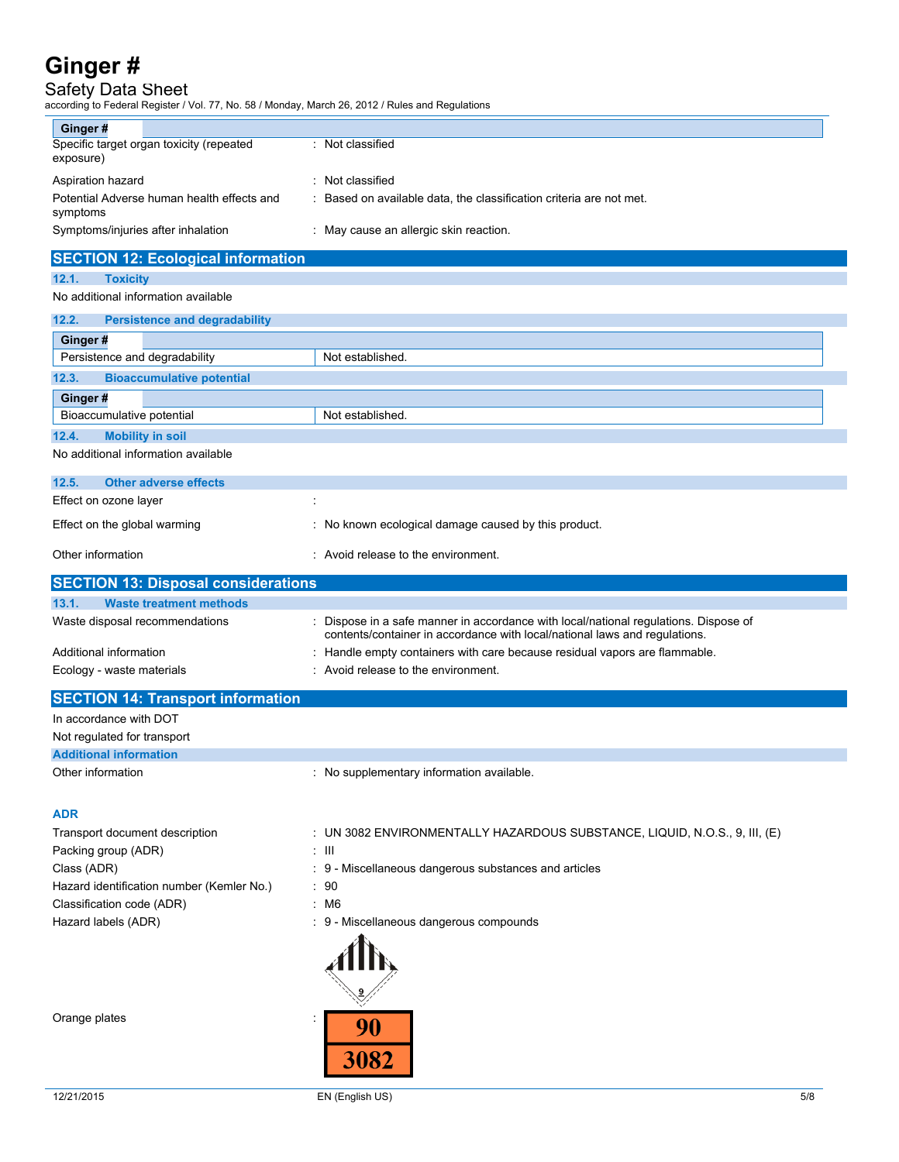## Safety Data Sheet

according to Federal Register / Vol. 77, No. 58 / Monday, March 26, 2012 / Rules and Regulations

| Ginger#                                                |                                                                     |
|--------------------------------------------------------|---------------------------------------------------------------------|
| Specific target organ toxicity (repeated<br>exposure)  | : Not classified                                                    |
| Aspiration hazard                                      | : Not classified                                                    |
| Potential Adverse human health effects and<br>symptoms | : Based on available data, the classification criteria are not met. |
| Symptoms/injuries after inhalation                     | : May cause an allergic skin reaction.                              |

# **SECTION 12: Ecological information**

### **12.1. Toxicity** No additional information available

| 12.2.   | <b>Persistence and degradability</b> |                  |
|---------|--------------------------------------|------------------|
|         |                                      |                  |
| Ginger# |                                      |                  |
|         | Persistence and degradability        | Not established. |
| 12.3.   | <b>Bioaccumulative potential</b>     |                  |
| Ginger# |                                      |                  |
|         | Bioaccumulative potential            | Not established. |
| 12.4.   | <b>Mobility in soil</b>              |                  |

No additional information available

| 12.5.<br><b>Other adverse effects</b> |                                                      |
|---------------------------------------|------------------------------------------------------|
| Effect on ozone layer                 |                                                      |
| Effect on the global warming          | : No known ecological damage caused by this product. |
| Other information                     | : Avoid release to the environment.                  |

| <b>SECTION 13: Disposal considerations</b> |                                                                                                                                                                  |
|--------------------------------------------|------------------------------------------------------------------------------------------------------------------------------------------------------------------|
| <b>Waste treatment methods</b><br>13.1.    |                                                                                                                                                                  |
| Waste disposal recommendations             | Dispose in a safe manner in accordance with local/national regulations. Dispose of<br>contents/container in accordance with local/national laws and regulations. |
| Additional information                     | : Handle empty containers with care because residual vapors are flammable.                                                                                       |
| Ecology - waste materials                  | : Avoid release to the environment.                                                                                                                              |

| <b>SECTION 14: Transport information</b> |                                           |  |
|------------------------------------------|-------------------------------------------|--|
| In accordance with DOT                   |                                           |  |
| Not regulated for transport              |                                           |  |
| <b>Additional information</b>            |                                           |  |
| Other information                        | : No supplementary information available. |  |
| <b>ADR</b>                               |                                           |  |

| Transport document description            | : UN 3082 ENVIRONMENTALLY HAZARDOUS SUBSTANCE, LIQUID, N.O.S., 9, III, (E) |
|-------------------------------------------|----------------------------------------------------------------------------|
| Packing group (ADR)                       | ÷ III                                                                      |
| Class (ADR)                               | : 9 - Miscellaneous dangerous substances and articles                      |
| Hazard identification number (Kemler No.) | $\therefore$ 90                                                            |
| Classification code (ADR)                 | : M6                                                                       |
| Hazard labels (ADR)                       | : 9 - Miscellaneous dangerous compounds                                    |
|                                           |                                                                            |

 $\overline{a}$ Orange plates in the set of the set of the set of the set of the set of the set of the set of the set of the set of the set of the set of the set of the set of the set of the set of the set of the set of the set of the set 90 3082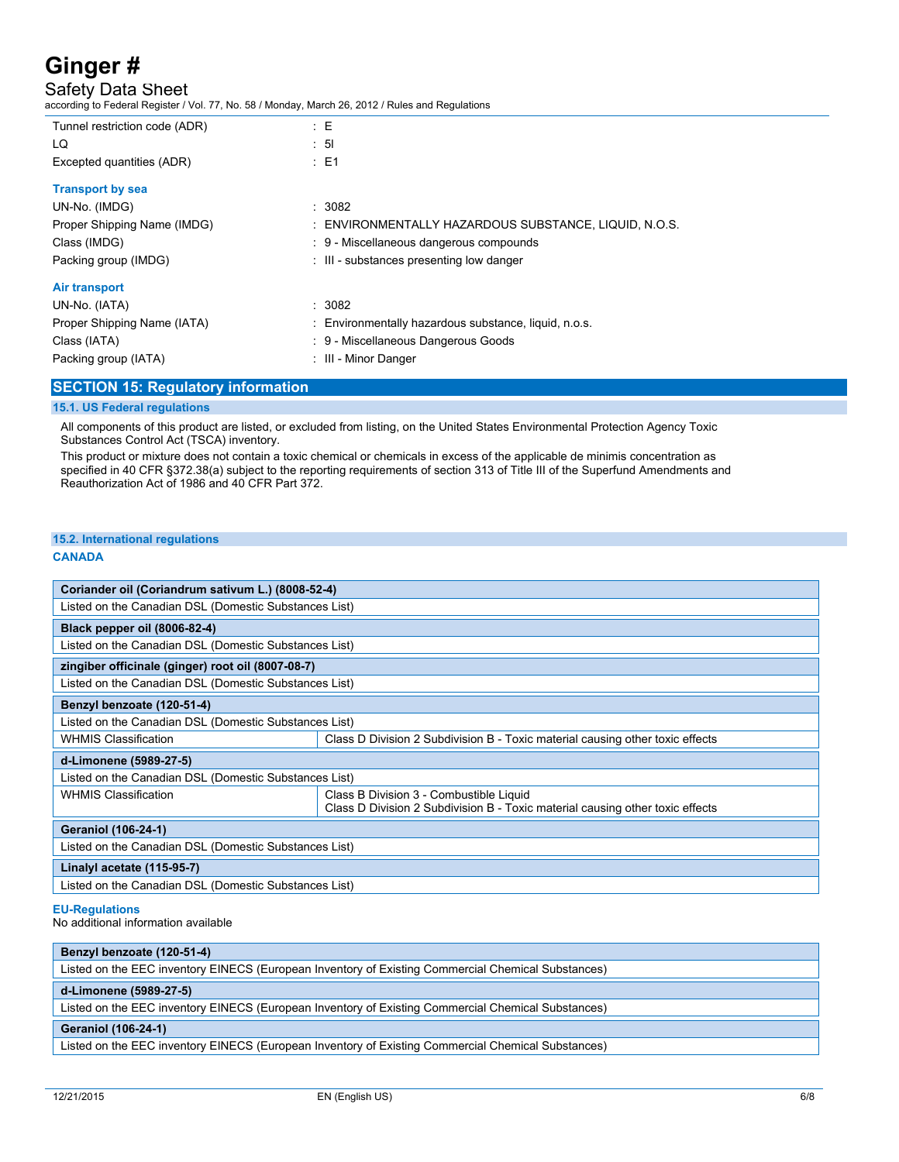Safety Data Sheet

according to Federal Register / Vol. 77, No. 58 / Monday, March 26, 2012 / Rules and Regulations

| Tunnel restriction code (ADR) | $E = E$                                               |
|-------------------------------|-------------------------------------------------------|
| LQ                            | $\therefore$ 51                                       |
| Excepted quantities (ADR)     | $E = 1$                                               |
| <b>Transport by sea</b>       |                                                       |
| UN-No. (IMDG)                 | : 3082                                                |
| Proper Shipping Name (IMDG)   | : ENVIRONMENTALLY HAZARDOUS SUBSTANCE, LIQUID, N.O.S. |
| Class (IMDG)                  | : 9 - Miscellaneous dangerous compounds               |
| Packing group (IMDG)          | : III - substances presenting low danger              |
| Air transport                 |                                                       |
| UN-No. (IATA)                 | : 3082                                                |
| Proper Shipping Name (IATA)   | : Environmentally hazardous substance, liquid, n.o.s. |
| Class (IATA)                  | : 9 - Miscellaneous Dangerous Goods                   |
| Packing group (IATA)          | : III - Minor Danger                                  |
|                               |                                                       |

### **SECTION 15: Regulatory information**

#### **15.1. US Federal regulations**

All components of this product are listed, or excluded from listing, on the United States Environmental Protection Agency Toxic Substances Control Act (TSCA) inventory.

This product or mixture does not contain a toxic chemical or chemicals in excess of the applicable de minimis concentration as specified in 40 CFR §372.38(a) subject to the reporting requirements of section 313 of Title III of the Superfund Amendments and Reauthorization Act of 1986 and 40 CFR Part 372.

### **15.2. International regulations**

#### **CANADA**

| Coriander oil (Coriandrum sativum L.) (8008-52-4)     |                                                                                                                          |  |  |
|-------------------------------------------------------|--------------------------------------------------------------------------------------------------------------------------|--|--|
| Listed on the Canadian DSL (Domestic Substances List) |                                                                                                                          |  |  |
| Black pepper oil (8006-82-4)                          |                                                                                                                          |  |  |
| Listed on the Canadian DSL (Domestic Substances List) |                                                                                                                          |  |  |
| zingiber officinale (ginger) root oil (8007-08-7)     |                                                                                                                          |  |  |
| Listed on the Canadian DSL (Domestic Substances List) |                                                                                                                          |  |  |
| Benzyl benzoate (120-51-4)                            |                                                                                                                          |  |  |
| Listed on the Canadian DSL (Domestic Substances List) |                                                                                                                          |  |  |
| <b>WHMIS Classification</b>                           | Class D Division 2 Subdivision B - Toxic material causing other toxic effects                                            |  |  |
| d-Limonene (5989-27-5)                                |                                                                                                                          |  |  |
| Listed on the Canadian DSL (Domestic Substances List) |                                                                                                                          |  |  |
| <b>WHMIS Classification</b>                           | Class B Division 3 - Combustible Liquid<br>Class D Division 2 Subdivision B - Toxic material causing other toxic effects |  |  |
| <b>Geraniol (106-24-1)</b>                            |                                                                                                                          |  |  |
| Listed on the Canadian DSL (Domestic Substances List) |                                                                                                                          |  |  |
| Linalyl acetate (115-95-7)                            |                                                                                                                          |  |  |
| Listed on the Canadian DSL (Domestic Substances List) |                                                                                                                          |  |  |

#### **EU-Regulations**

No additional information available

| Benzyl benzoate (120-51-4)                                                                         |  |  |
|----------------------------------------------------------------------------------------------------|--|--|
| Listed on the EEC inventory EINECS (European Inventory of Existing Commercial Chemical Substances) |  |  |
| d-Limonene (5989-27-5)                                                                             |  |  |
| Listed on the EEC inventory EINECS (European Inventory of Existing Commercial Chemical Substances) |  |  |
| <b>Geraniol (106-24-1)</b>                                                                         |  |  |
| Listed on the EEC inventory EINECS (European Inventory of Existing Commercial Chemical Substances) |  |  |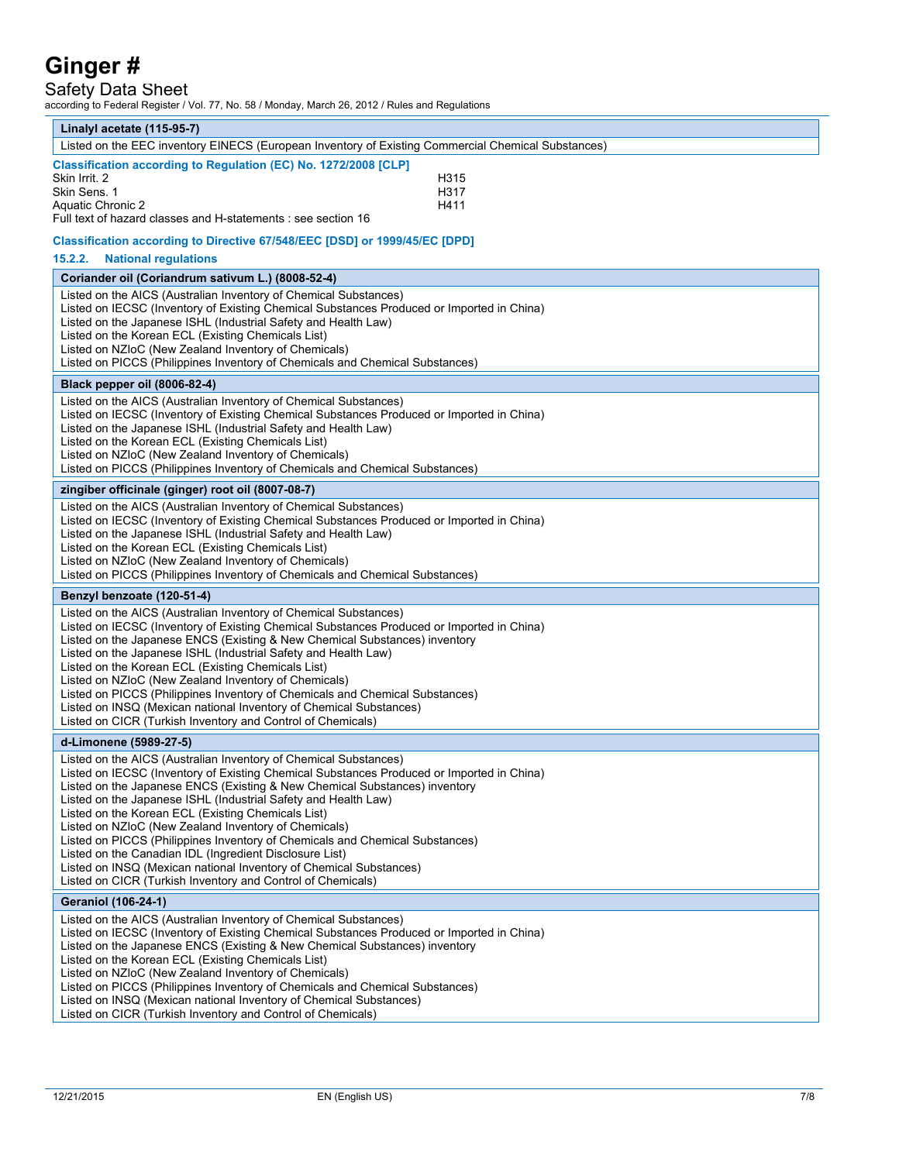Safety Data Sheet

according to Federal Register / Vol. 77, No. 58 / Monday, March 26, 2012 / Rules and Regulations

| Linalyl acetate (115-95-7)                                                                                                                                                                                                                                                                                                                                                                                                                                                                                                                                                                                                                                                                                  |  |  |
|-------------------------------------------------------------------------------------------------------------------------------------------------------------------------------------------------------------------------------------------------------------------------------------------------------------------------------------------------------------------------------------------------------------------------------------------------------------------------------------------------------------------------------------------------------------------------------------------------------------------------------------------------------------------------------------------------------------|--|--|
| Listed on the EEC inventory EINECS (European Inventory of Existing Commercial Chemical Substances)                                                                                                                                                                                                                                                                                                                                                                                                                                                                                                                                                                                                          |  |  |
| Classification according to Regulation (EC) No. 1272/2008 [CLP]<br>Skin Irrit. 2<br>H315<br>Skin Sens. 1<br>H317<br><b>Aquatic Chronic 2</b><br>H411<br>Full text of hazard classes and H-statements : see section 16                                                                                                                                                                                                                                                                                                                                                                                                                                                                                       |  |  |
| Classification according to Directive 67/548/EEC [DSD] or 1999/45/EC [DPD]                                                                                                                                                                                                                                                                                                                                                                                                                                                                                                                                                                                                                                  |  |  |
| 15.2.2.<br><b>National regulations</b>                                                                                                                                                                                                                                                                                                                                                                                                                                                                                                                                                                                                                                                                      |  |  |
| Coriander oil (Coriandrum sativum L.) (8008-52-4)                                                                                                                                                                                                                                                                                                                                                                                                                                                                                                                                                                                                                                                           |  |  |
| Listed on the AICS (Australian Inventory of Chemical Substances)<br>Listed on IECSC (Inventory of Existing Chemical Substances Produced or Imported in China)<br>Listed on the Japanese ISHL (Industrial Safety and Health Law)<br>Listed on the Korean ECL (Existing Chemicals List)<br>Listed on NZIoC (New Zealand Inventory of Chemicals)<br>Listed on PICCS (Philippines Inventory of Chemicals and Chemical Substances)                                                                                                                                                                                                                                                                               |  |  |
| Black pepper oil (8006-82-4)                                                                                                                                                                                                                                                                                                                                                                                                                                                                                                                                                                                                                                                                                |  |  |
| Listed on the AICS (Australian Inventory of Chemical Substances)<br>Listed on IECSC (Inventory of Existing Chemical Substances Produced or Imported in China)<br>Listed on the Japanese ISHL (Industrial Safety and Health Law)<br>Listed on the Korean ECL (Existing Chemicals List)<br>Listed on NZIoC (New Zealand Inventory of Chemicals)<br>Listed on PICCS (Philippines Inventory of Chemicals and Chemical Substances)                                                                                                                                                                                                                                                                               |  |  |
| zingiber officinale (ginger) root oil (8007-08-7)                                                                                                                                                                                                                                                                                                                                                                                                                                                                                                                                                                                                                                                           |  |  |
| Listed on the AICS (Australian Inventory of Chemical Substances)<br>Listed on IECSC (Inventory of Existing Chemical Substances Produced or Imported in China)<br>Listed on the Japanese ISHL (Industrial Safety and Health Law)<br>Listed on the Korean ECL (Existing Chemicals List)<br>Listed on NZIoC (New Zealand Inventory of Chemicals)<br>Listed on PICCS (Philippines Inventory of Chemicals and Chemical Substances)                                                                                                                                                                                                                                                                               |  |  |
| Benzyl benzoate (120-51-4)                                                                                                                                                                                                                                                                                                                                                                                                                                                                                                                                                                                                                                                                                  |  |  |
| Listed on the AICS (Australian Inventory of Chemical Substances)<br>Listed on IECSC (Inventory of Existing Chemical Substances Produced or Imported in China)<br>Listed on the Japanese ENCS (Existing & New Chemical Substances) inventory<br>Listed on the Japanese ISHL (Industrial Safety and Health Law)<br>Listed on the Korean ECL (Existing Chemicals List)<br>Listed on NZIoC (New Zealand Inventory of Chemicals)<br>Listed on PICCS (Philippines Inventory of Chemicals and Chemical Substances)<br>Listed on INSQ (Mexican national Inventory of Chemical Substances)<br>Listed on CICR (Turkish Inventory and Control of Chemicals)                                                            |  |  |
| d-Limonene (5989-27-5)                                                                                                                                                                                                                                                                                                                                                                                                                                                                                                                                                                                                                                                                                      |  |  |
| Listed on the AICS (Australian Inventory of Chemical Substances)<br>Listed on IECSC (Inventory of Existing Chemical Substances Produced or Imported in China)<br>Listed on the Japanese ENCS (Existing & New Chemical Substances) inventory<br>Listed on the Japanese ISHL (Industrial Safety and Health Law)<br>Listed on the Korean ECL (Existing Chemicals List)<br>Listed on NZIoC (New Zealand Inventory of Chemicals)<br>Listed on PICCS (Philippines Inventory of Chemicals and Chemical Substances)<br>Listed on the Canadian IDL (Ingredient Disclosure List)<br>Listed on INSQ (Mexican national Inventory of Chemical Substances)<br>Listed on CICR (Turkish Inventory and Control of Chemicals) |  |  |
| <b>Geraniol (106-24-1)</b>                                                                                                                                                                                                                                                                                                                                                                                                                                                                                                                                                                                                                                                                                  |  |  |
| Listed on the AICS (Australian Inventory of Chemical Substances)<br>Listed on IECSC (Inventory of Existing Chemical Substances Produced or Imported in China)<br>Listed on the Japanese ENCS (Existing & New Chemical Substances) inventory<br>Listed on the Korean ECL (Existing Chemicals List)<br>Listed on NZIoC (New Zealand Inventory of Chemicals)<br>Listed on PICCS (Philippines Inventory of Chemicals and Chemical Substances)<br>Listed on INSQ (Mexican national Inventory of Chemical Substances)<br>Listed on CICR (Turkish Inventory and Control of Chemicals)                                                                                                                              |  |  |